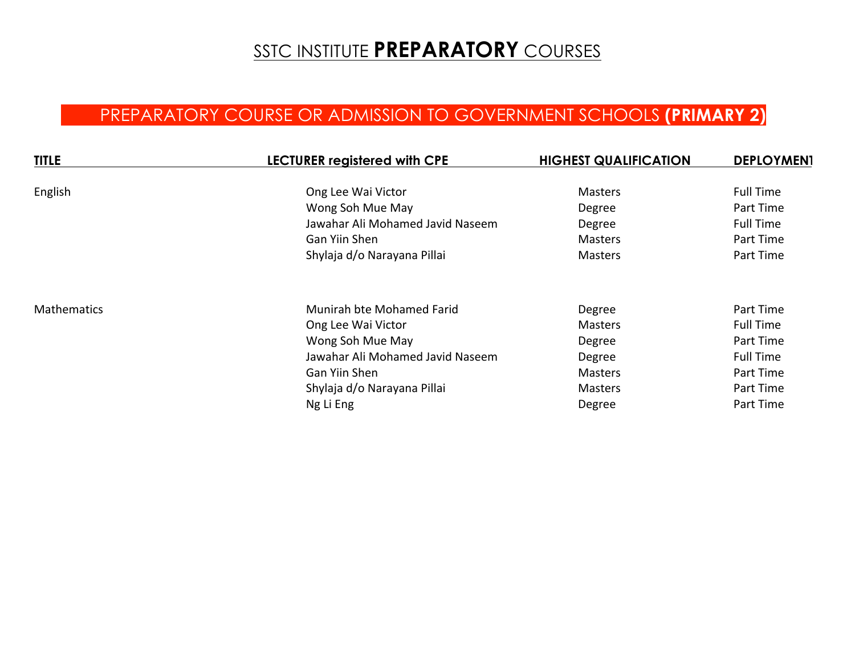## **SSTC INSTITUTE PREPARATORY COURSES**

## PREPARATORY COURSE OR ADMISSION TO GOVERNMENT SCHOOLS **(PRIMARY 2)**

| <b>TITLE</b>       | <b>LECTURER registered with CPE</b> | <b>HIGHEST QUALIFICATION</b> | <b>DEPLOYMEN1</b> |
|--------------------|-------------------------------------|------------------------------|-------------------|
| English            | Ong Lee Wai Victor                  | <b>Masters</b>               | <b>Full Time</b>  |
|                    | Wong Soh Mue May                    | Degree                       | Part Time         |
|                    | Jawahar Ali Mohamed Javid Naseem    | Degree                       | <b>Full Time</b>  |
|                    | Gan Yiin Shen                       | <b>Masters</b>               | Part Time         |
|                    | Shylaja d/o Narayana Pillai         | <b>Masters</b>               | Part Time         |
| <b>Mathematics</b> | Munirah bte Mohamed Farid           | Degree                       | Part Time         |
|                    | Ong Lee Wai Victor                  | <b>Masters</b>               | <b>Full Time</b>  |
|                    | Wong Soh Mue May                    | Degree                       | Part Time         |
|                    | Jawahar Ali Mohamed Javid Naseem    | Degree                       | <b>Full Time</b>  |
|                    | Gan Yiin Shen                       | <b>Masters</b>               | Part Time         |
|                    | Shylaja d/o Narayana Pillai         | <b>Masters</b>               | Part Time         |
|                    | Ng Li Eng                           | Degree                       | Part Time         |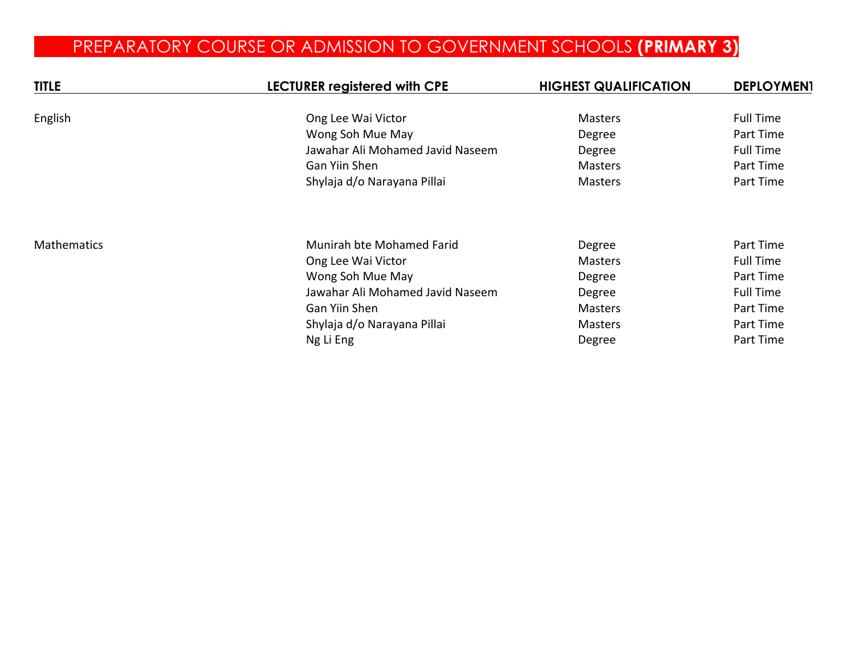# PREPARATORY COURSE OR ADMISSION TO GOVERNMENT SCHOOLS **(PRIMARY 3)**

| <b>TITLE</b>       | <b>LECTURER registered with CPE</b> | <b>HIGHEST QUALIFICATION</b> | <b>DEPLOYMEN1</b> |
|--------------------|-------------------------------------|------------------------------|-------------------|
| English            | Ong Lee Wai Victor                  | <b>Masters</b>               | <b>Full Time</b>  |
|                    | Wong Soh Mue May                    | Degree                       | Part Time         |
|                    | Jawahar Ali Mohamed Javid Naseem    | Degree                       | <b>Full Time</b>  |
|                    | Gan Yiin Shen                       | <b>Masters</b>               | Part Time         |
|                    | Shylaja d/o Narayana Pillai         | Masters                      | Part Time         |
| <b>Mathematics</b> | Munirah bte Mohamed Farid           | Degree                       | Part Time         |
|                    | Ong Lee Wai Victor                  | <b>Masters</b>               | <b>Full Time</b>  |
|                    | Wong Soh Mue May                    | Degree                       | Part Time         |
|                    | Jawahar Ali Mohamed Javid Naseem    | Degree                       | <b>Full Time</b>  |
|                    | Gan Yiin Shen                       | <b>Masters</b>               | Part Time         |
|                    | Shylaja d/o Narayana Pillai         | Masters                      | Part Time         |
|                    | Ng Li Eng                           | Degree                       | Part Time         |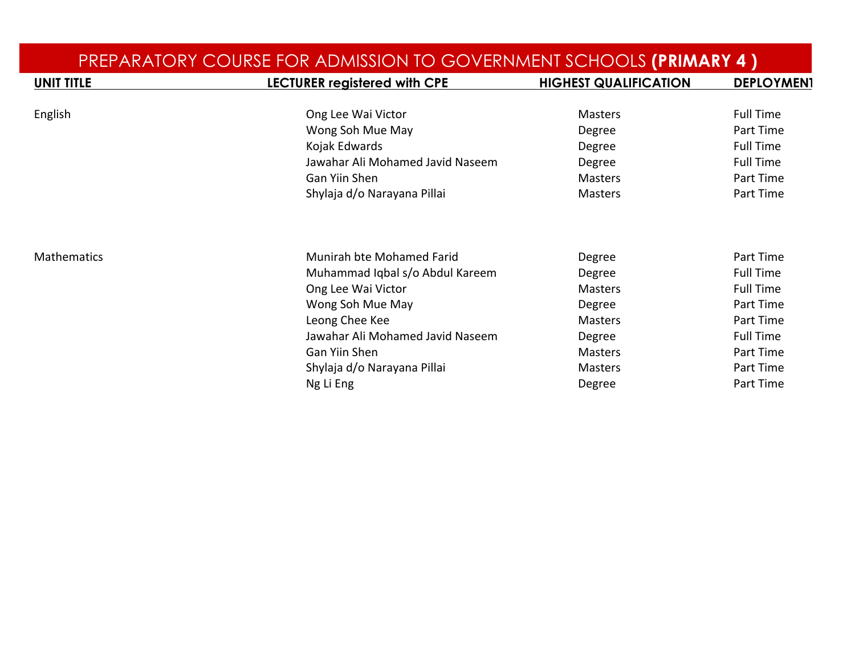| PREPARATORY COURSE FOR ADMISSION TO GOVERNMENT SCHOOLS (PRIMARY 4) |                                     |                              |                   |
|--------------------------------------------------------------------|-------------------------------------|------------------------------|-------------------|
| <b>UNIT TITLE</b>                                                  | <b>LECTURER registered with CPE</b> | <b>HIGHEST QUALIFICATION</b> | <b>DEPLOYMEN1</b> |
| English                                                            | Ong Lee Wai Victor                  | Masters                      | <b>Full Time</b>  |
|                                                                    | Wong Soh Mue May                    | Degree                       | Part Time         |
|                                                                    | Kojak Edwards                       | Degree                       | <b>Full Time</b>  |
|                                                                    | Jawahar Ali Mohamed Javid Naseem    | Degree                       | <b>Full Time</b>  |
|                                                                    | Gan Yiin Shen                       | <b>Masters</b>               | Part Time         |
|                                                                    | Shylaja d/o Narayana Pillai         | Masters                      | Part Time         |
|                                                                    |                                     |                              |                   |
| <b>Mathematics</b>                                                 | Munirah bte Mohamed Farid           | Degree                       | Part Time         |
|                                                                    | Muhammad Iqbal s/o Abdul Kareem     | Degree                       | <b>Full Time</b>  |
|                                                                    | Ong Lee Wai Victor                  | <b>Masters</b>               | <b>Full Time</b>  |
|                                                                    | Wong Soh Mue May                    | Degree                       | Part Time         |
|                                                                    | Leong Chee Kee                      | <b>Masters</b>               | Part Time         |
|                                                                    | Jawahar Ali Mohamed Javid Naseem    | Degree                       | <b>Full Time</b>  |
|                                                                    | Gan Yiin Shen                       | <b>Masters</b>               | Part Time         |
|                                                                    | Shylaja d/o Narayana Pillai         | <b>Masters</b>               | Part Time         |
|                                                                    | Ng Li Eng                           | Degree                       | Part Time         |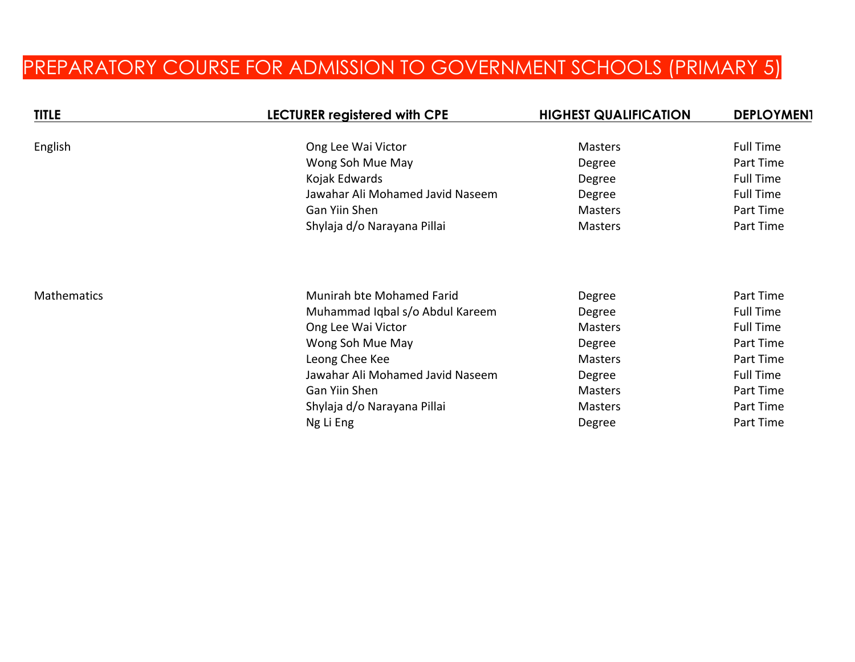# PREPARATORY COURSE FOR ADMISSION TO GOVERNMENT SCHOOLS (PRIMARY 5)

| <b>TITLE</b>       | <b>LECTURER registered with CPE</b> | <b>HIGHEST QUALIFICATION</b> | <b>DEPLOYMEN1</b> |
|--------------------|-------------------------------------|------------------------------|-------------------|
| English            | Ong Lee Wai Victor                  | <b>Masters</b>               | <b>Full Time</b>  |
|                    | Wong Soh Mue May                    | Degree                       | Part Time         |
|                    | Kojak Edwards                       | Degree                       | <b>Full Time</b>  |
|                    | Jawahar Ali Mohamed Javid Naseem    | Degree                       | <b>Full Time</b>  |
|                    | Gan Yiin Shen                       | <b>Masters</b>               | Part Time         |
|                    | Shylaja d/o Narayana Pillai         | <b>Masters</b>               | Part Time         |
|                    |                                     |                              |                   |
| <b>Mathematics</b> | Munirah bte Mohamed Farid           | Degree                       | Part Time         |
|                    | Muhammad Iqbal s/o Abdul Kareem     | Degree                       | <b>Full Time</b>  |
|                    | Ong Lee Wai Victor                  | <b>Masters</b>               | <b>Full Time</b>  |
|                    | Wong Soh Mue May                    | Degree                       | Part Time         |
|                    | Leong Chee Kee                      | Masters                      | Part Time         |
|                    | Jawahar Ali Mohamed Javid Naseem    | Degree                       | <b>Full Time</b>  |
|                    | Gan Yiin Shen                       | <b>Masters</b>               | Part Time         |
|                    | Shylaja d/o Narayana Pillai         | <b>Masters</b>               | Part Time         |
|                    | Ng Li Eng                           | Degree                       | Part Time         |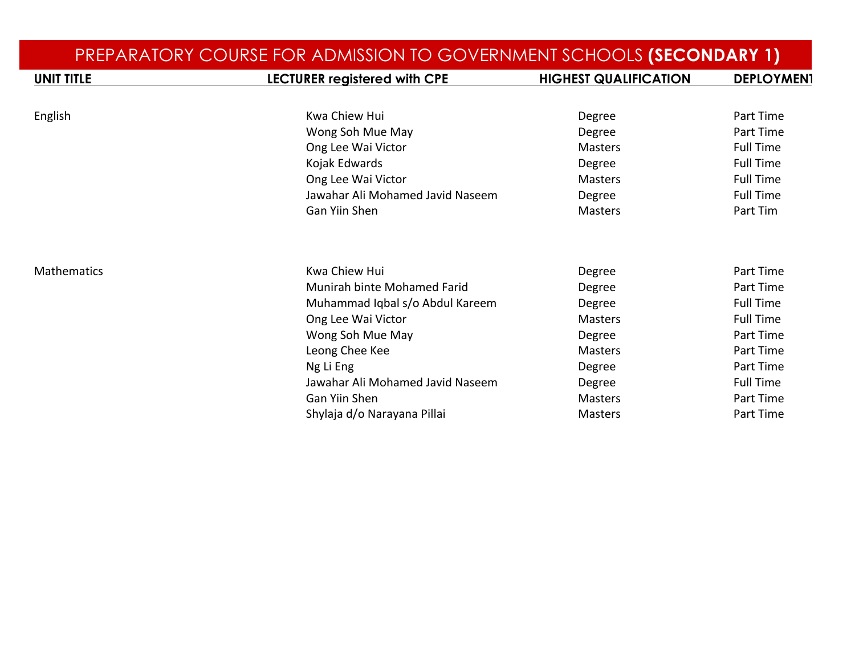|                    | PREPARATORY COURSE FOR ADMISSION TO GOVERNMENT SCHOOLS (SECONDARY 1) |                              |                   |
|--------------------|----------------------------------------------------------------------|------------------------------|-------------------|
| <b>UNIT TITLE</b>  | LECTURER registered with CPE                                         | <b>HIGHEST QUALIFICATION</b> | <b>DEPLOYMEN1</b> |
|                    |                                                                      |                              |                   |
| English            | Kwa Chiew Hui                                                        | Degree                       | Part Time         |
|                    | Wong Soh Mue May                                                     | Degree                       | Part Time         |
|                    | Ong Lee Wai Victor                                                   | <b>Masters</b>               | <b>Full Time</b>  |
|                    | Kojak Edwards                                                        | Degree                       | <b>Full Time</b>  |
|                    | Ong Lee Wai Victor                                                   | <b>Masters</b>               | <b>Full Time</b>  |
|                    | Jawahar Ali Mohamed Javid Naseem                                     | Degree                       | <b>Full Time</b>  |
|                    | <b>Gan Yiin Shen</b>                                                 | Masters                      | Part Tim          |
| <b>Mathematics</b> | Kwa Chiew Hui                                                        | Degree                       | Part Time         |
|                    | <b>Munirah binte Mohamed Farid</b>                                   | Degree                       | Part Time         |
|                    | Muhammad Iqbal s/o Abdul Kareem                                      | Degree                       | <b>Full Time</b>  |
|                    | Ong Lee Wai Victor                                                   | <b>Masters</b>               | <b>Full Time</b>  |
|                    | Wong Soh Mue May                                                     | Degree                       | Part Time         |
|                    | Leong Chee Kee                                                       | <b>Masters</b>               | Part Time         |
|                    | Ng Li Eng                                                            | Degree                       | Part Time         |
|                    | Jawahar Ali Mohamed Javid Naseem                                     | Degree                       | <b>Full Time</b>  |
|                    | <b>Gan Yiin Shen</b>                                                 | <b>Masters</b>               | Part Time         |
|                    | Shylaja d/o Narayana Pillai                                          | <b>Masters</b>               | Part Time         |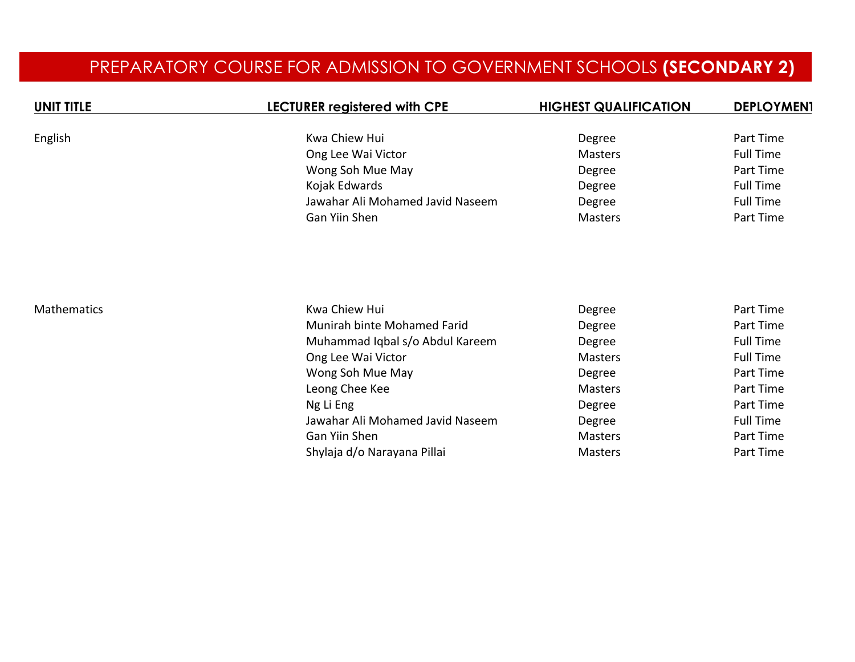### PREPARATORY COURSE FOR ADMISSION TO GOVERNMENT SCHOOLS **(SECONDARY 2)**

| <b>UNIT TITLE</b>  | <b>LECTURER registered with CPE</b> | <b>HIGHEST QUALIFICATION</b> | <b>DEPLOYMEN1</b> |
|--------------------|-------------------------------------|------------------------------|-------------------|
| English            | Kwa Chiew Hui                       | Degree                       | Part Time         |
|                    | Ong Lee Wai Victor                  | <b>Masters</b>               | <b>Full Time</b>  |
|                    | Wong Soh Mue May                    | Degree                       | Part Time         |
|                    | Kojak Edwards                       | Degree                       | <b>Full Time</b>  |
|                    | Jawahar Ali Mohamed Javid Naseem    | Degree                       | <b>Full Time</b>  |
|                    | Gan Yiin Shen                       | Masters                      | Part Time         |
| <b>Mathematics</b> | Kwa Chiew Hui                       | Degree                       | Part Time         |
|                    | Munirah binte Mohamed Farid         | Degree                       | Part Time         |
|                    | Muhammad Iqbal s/o Abdul Kareem     | Degree                       | <b>Full Time</b>  |
|                    | Ong Lee Wai Victor                  | Masters                      | <b>Full Time</b>  |
|                    | Wong Soh Mue May                    | Degree                       | Part Time         |
|                    | Leong Chee Kee                      | Masters                      | Part Time         |
|                    | Ng Li Eng                           | Degree                       | Part Time         |
|                    | Jawahar Ali Mohamed Javid Naseem    | Degree                       | <b>Full Time</b>  |
|                    | Gan Yiin Shen                       | Masters                      | Part Time         |
|                    | Shylaja d/o Narayana Pillai         | Masters                      | Part Time         |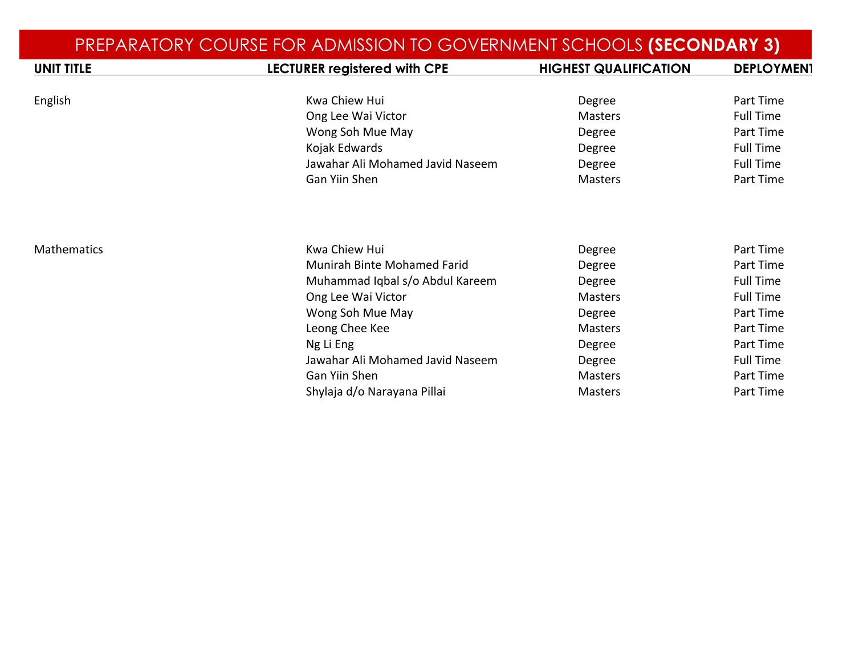| PREPARATORY COURSE FOR ADMISSION TO GOVERNMENT SCHOOLS (SECONDARY 3) |                                                                                                              |                                              |                                                                |
|----------------------------------------------------------------------|--------------------------------------------------------------------------------------------------------------|----------------------------------------------|----------------------------------------------------------------|
| <b>UNIT TITLE</b>                                                    | <b>LECTURER registered with CPE</b>                                                                          | <b>HIGHEST QUALIFICATION</b>                 | <b>DEPLOYMEN1</b>                                              |
|                                                                      |                                                                                                              |                                              |                                                                |
| English                                                              | Kwa Chiew Hui                                                                                                | Degree                                       | Part Time                                                      |
|                                                                      | Ong Lee Wai Victor                                                                                           | <b>Masters</b>                               | <b>Full Time</b>                                               |
|                                                                      | Wong Soh Mue May                                                                                             | Degree                                       | Part Time                                                      |
|                                                                      | Kojak Edwards                                                                                                | Degree                                       | <b>Full Time</b>                                               |
|                                                                      | Jawahar Ali Mohamed Javid Naseem                                                                             | Degree                                       | <b>Full Time</b>                                               |
|                                                                      | Gan Yiin Shen                                                                                                | <b>Masters</b>                               | Part Time                                                      |
| <b>Mathematics</b>                                                   | Kwa Chiew Hui<br><b>Munirah Binte Mohamed Farid</b><br>Muhammad Iqbal s/o Abdul Kareem<br>Ong Lee Wai Victor | Degree<br>Degree<br>Degree<br><b>Masters</b> | Part Time<br>Part Time<br><b>Full Time</b><br><b>Full Time</b> |
|                                                                      | Wong Soh Mue May                                                                                             | Degree                                       | Part Time                                                      |
|                                                                      | Leong Chee Kee                                                                                               | <b>Masters</b>                               | Part Time                                                      |
|                                                                      | Ng Li Eng                                                                                                    | Degree                                       | Part Time                                                      |
|                                                                      | Jawahar Ali Mohamed Javid Naseem                                                                             | Degree                                       | <b>Full Time</b>                                               |
|                                                                      | Gan Yiin Shen                                                                                                | <b>Masters</b>                               | Part Time                                                      |
|                                                                      | Shylaja d/o Narayana Pillai                                                                                  | <b>Masters</b>                               | Part Time                                                      |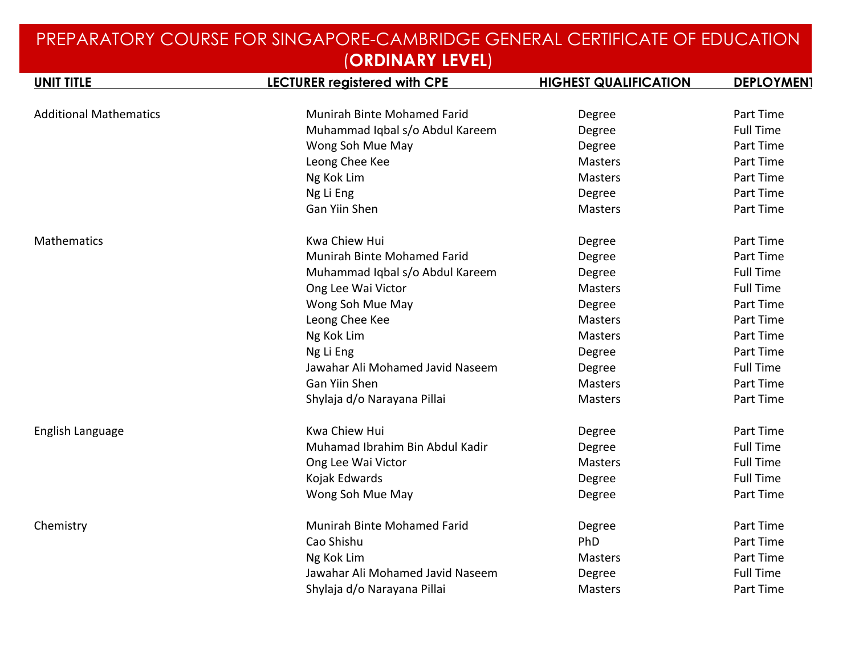|                               | UKUINAKI LEVELJ                     |                              |                   |
|-------------------------------|-------------------------------------|------------------------------|-------------------|
| <b>UNIT TITLE</b>             | <b>LECTURER registered with CPE</b> | <b>HIGHEST QUALIFICATION</b> | <b>DEPLOYMEN1</b> |
|                               |                                     |                              |                   |
| <b>Additional Mathematics</b> | Munirah Binte Mohamed Farid         | Degree                       | Part Time         |
|                               | Muhammad Iqbal s/o Abdul Kareem     | Degree                       | <b>Full Time</b>  |
|                               | Wong Soh Mue May                    | Degree                       | Part Time         |
|                               | Leong Chee Kee                      | Masters                      | Part Time         |
|                               | Ng Kok Lim                          | <b>Masters</b>               | Part Time         |
|                               | Ng Li Eng                           | Degree                       | Part Time         |
|                               | Gan Yiin Shen                       | Masters                      | Part Time         |
| Mathematics                   | Kwa Chiew Hui                       | Degree                       | Part Time         |
|                               | Munirah Binte Mohamed Farid         | Degree                       | Part Time         |
|                               | Muhammad Iqbal s/o Abdul Kareem     | Degree                       | <b>Full Time</b>  |
|                               | Ong Lee Wai Victor                  | <b>Masters</b>               | <b>Full Time</b>  |
|                               | Wong Soh Mue May                    | Degree                       | Part Time         |
|                               | Leong Chee Kee                      | <b>Masters</b>               | Part Time         |
|                               | Ng Kok Lim                          | <b>Masters</b>               | Part Time         |
|                               | Ng Li Eng                           | Degree                       | Part Time         |
|                               | Jawahar Ali Mohamed Javid Naseem    | Degree                       | <b>Full Time</b>  |
|                               | Gan Yiin Shen                       | <b>Masters</b>               | Part Time         |
|                               | Shylaja d/o Narayana Pillai         | <b>Masters</b>               | Part Time         |
| English Language              | Kwa Chiew Hui                       | Degree                       | Part Time         |
|                               | Muhamad Ibrahim Bin Abdul Kadir     | Degree                       | <b>Full Time</b>  |
|                               | Ong Lee Wai Victor                  | <b>Masters</b>               | <b>Full Time</b>  |
|                               | Kojak Edwards                       | Degree                       | <b>Full Time</b>  |
|                               | Wong Soh Mue May                    | Degree                       | Part Time         |
| Chemistry                     | Munirah Binte Mohamed Farid         | Degree                       | Part Time         |
|                               | Cao Shishu                          | PhD                          | Part Time         |
|                               | Ng Kok Lim                          | <b>Masters</b>               | Part Time         |
|                               | Jawahar Ali Mohamed Javid Naseem    | Degree                       | <b>Full Time</b>  |
|                               | Shylaja d/o Narayana Pillai         | <b>Masters</b>               | Part Time         |
|                               |                                     |                              |                   |

#### PREPARATORY COURSE FOR SINGAPORE-CAMBRIDGE GENERAL CERTIFICATE OF EDUCATION (**ORDINARY LEVEL**)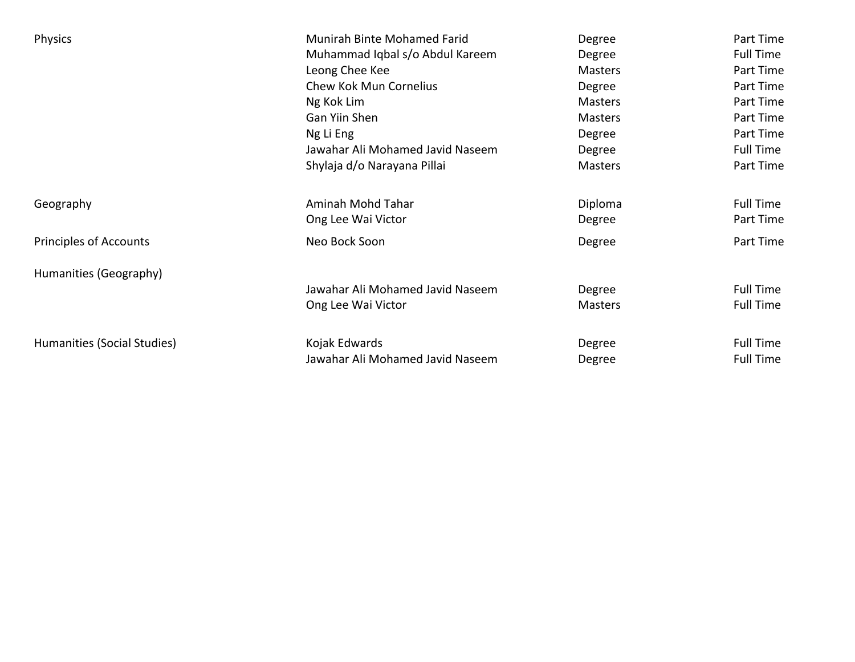| <b>Physics</b>                | Munirah Binte Mohamed Farid      | Degree         | Part Time        |
|-------------------------------|----------------------------------|----------------|------------------|
|                               | Muhammad Iqbal s/o Abdul Kareem  | Degree         | <b>Full Time</b> |
|                               | Leong Chee Kee                   | <b>Masters</b> | Part Time        |
|                               | Chew Kok Mun Cornelius           | Degree         | Part Time        |
|                               | Ng Kok Lim                       | <b>Masters</b> | Part Time        |
|                               | Gan Yiin Shen                    | <b>Masters</b> | Part Time        |
|                               | Ng Li Eng                        | Degree         | Part Time        |
|                               | Jawahar Ali Mohamed Javid Naseem | Degree         | <b>Full Time</b> |
|                               | Shylaja d/o Narayana Pillai      | Masters        | Part Time        |
| Geography                     | Aminah Mohd Tahar                | Diploma        | <b>Full Time</b> |
|                               | Ong Lee Wai Victor               | Degree         | Part Time        |
| <b>Principles of Accounts</b> | Neo Bock Soon                    | Degree         | Part Time        |
| Humanities (Geography)        |                                  |                |                  |
|                               | Jawahar Ali Mohamed Javid Naseem | Degree         | <b>Full Time</b> |
|                               | Ong Lee Wai Victor               | Masters        | <b>Full Time</b> |
| Humanities (Social Studies)   | Kojak Edwards                    | Degree         | <b>Full Time</b> |
|                               | Jawahar Ali Mohamed Javid Naseem | Degree         | <b>Full Time</b> |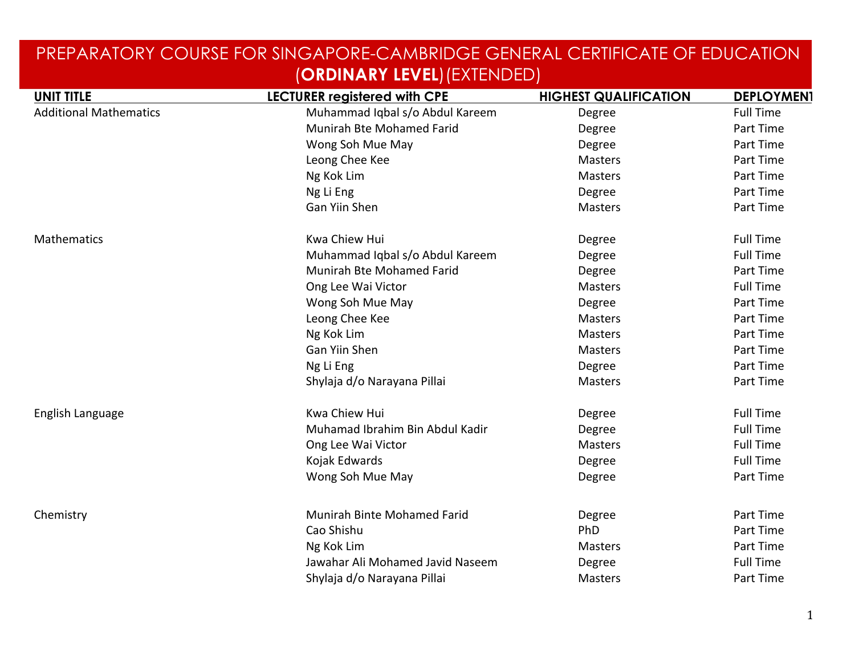|                               | $\sum_{i=1}^{n}$                    |                              |                   |
|-------------------------------|-------------------------------------|------------------------------|-------------------|
| <b>UNIT TITLE</b>             | <b>LECTURER registered with CPE</b> | <b>HIGHEST QUALIFICATION</b> | <b>DEPLOYMEN1</b> |
| <b>Additional Mathematics</b> | Muhammad Iqbal s/o Abdul Kareem     | Degree                       | <b>Full Time</b>  |
|                               | Munirah Bte Mohamed Farid           | Degree                       | Part Time         |
|                               | Wong Soh Mue May                    | Degree                       | Part Time         |
|                               | Leong Chee Kee                      | <b>Masters</b>               | Part Time         |
|                               | Ng Kok Lim                          | <b>Masters</b>               | Part Time         |
|                               | Ng Li Eng                           | Degree                       | Part Time         |
|                               | Gan Yiin Shen                       | Masters                      | Part Time         |
| Mathematics                   | Kwa Chiew Hui                       | Degree                       | <b>Full Time</b>  |
|                               | Muhammad Iqbal s/o Abdul Kareem     | Degree                       | <b>Full Time</b>  |
|                               | Munirah Bte Mohamed Farid           | Degree                       | Part Time         |
|                               | Ong Lee Wai Victor                  | Masters                      | <b>Full Time</b>  |
|                               | Wong Soh Mue May                    | Degree                       | Part Time         |
|                               | Leong Chee Kee                      | Masters                      | Part Time         |
|                               | Ng Kok Lim                          | Masters                      | Part Time         |
|                               | Gan Yiin Shen                       | Masters                      | Part Time         |
|                               | Ng Li Eng                           | Degree                       | Part Time         |
|                               | Shylaja d/o Narayana Pillai         | Masters                      | Part Time         |
| English Language              | <b>Kwa Chiew Hui</b>                | Degree                       | <b>Full Time</b>  |
|                               | Muhamad Ibrahim Bin Abdul Kadir     | Degree                       | <b>Full Time</b>  |
|                               | Ong Lee Wai Victor                  | <b>Masters</b>               | <b>Full Time</b>  |
|                               | Kojak Edwards                       | Degree                       | <b>Full Time</b>  |
|                               | Wong Soh Mue May                    | Degree                       | Part Time         |
| Chemistry                     | Munirah Binte Mohamed Farid         | Degree                       | Part Time         |
|                               | Cao Shishu                          | PhD                          | Part Time         |
|                               | Ng Kok Lim                          | Masters                      | Part Time         |
|                               | Jawahar Ali Mohamed Javid Naseem    | Degree                       | <b>Full Time</b>  |
|                               | Shylaja d/o Narayana Pillai         | <b>Masters</b>               | Part Time         |
|                               |                                     |                              |                   |

#### PREPARATORY COURSE FOR SINGAPORE-CAMBRIDGE GENERAL CERTIFICATE OF EDUCATION (**ORDINARY LEVEL**)(EXTENDED)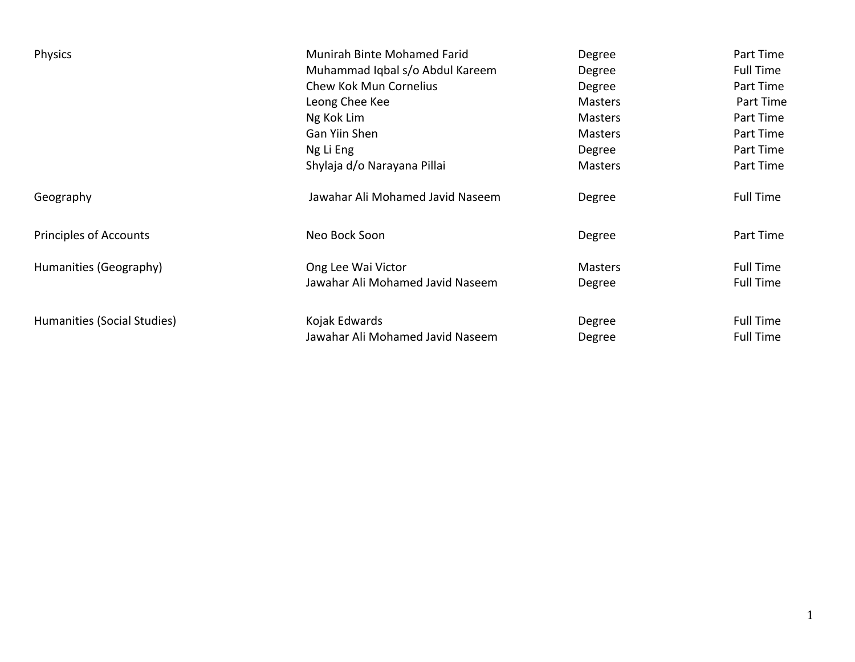| Physics                       | <b>Munirah Binte Mohamed Farid</b> | Degree         | Part Time        |
|-------------------------------|------------------------------------|----------------|------------------|
|                               | Muhammad Iqbal s/o Abdul Kareem    | Degree         | <b>Full Time</b> |
|                               | Chew Kok Mun Cornelius             | Degree         | Part Time        |
|                               | Leong Chee Kee                     | <b>Masters</b> | Part Time        |
|                               | Ng Kok Lim                         | <b>Masters</b> | Part Time        |
|                               | Gan Yiin Shen                      | <b>Masters</b> | Part Time        |
|                               | Ng Li Eng                          | Degree         | Part Time        |
|                               | Shylaja d/o Narayana Pillai        | <b>Masters</b> | Part Time        |
| Geography                     | Jawahar Ali Mohamed Javid Naseem   | Degree         | <b>Full Time</b> |
| <b>Principles of Accounts</b> | Neo Bock Soon                      | Degree         | Part Time        |
| Humanities (Geography)        | Ong Lee Wai Victor                 | <b>Masters</b> | <b>Full Time</b> |
|                               | Jawahar Ali Mohamed Javid Naseem   | Degree         | <b>Full Time</b> |
| Humanities (Social Studies)   | Kojak Edwards                      | Degree         | <b>Full Time</b> |
|                               | Jawahar Ali Mohamed Javid Naseem   | Degree         | <b>Full Time</b> |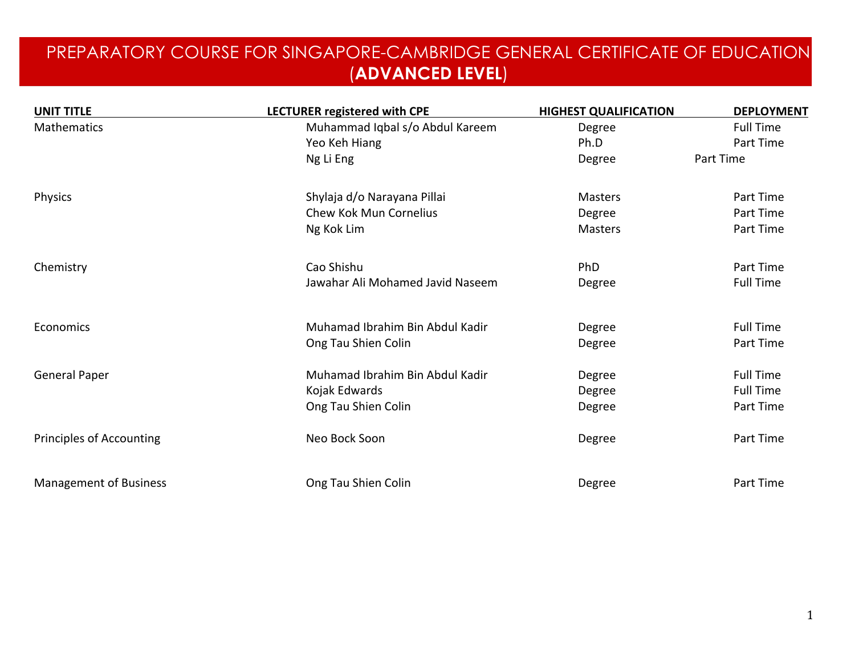### PREPARATORY COURSE FOR SINGAPORE-CAMBRIDGE GENERAL CERTIFICATE OF EDUCATION (**ADVANCED LEVEL**)

| <b>UNIT TITLE</b>               | <b>LECTURER registered with CPE</b> | <b>HIGHEST QUALIFICATION</b> | <b>DEPLOYMENT</b> |
|---------------------------------|-------------------------------------|------------------------------|-------------------|
| Mathematics                     | Muhammad Iqbal s/o Abdul Kareem     | Degree                       | <b>Full Time</b>  |
|                                 | Yeo Keh Hiang                       | Ph.D                         | Part Time         |
|                                 | Ng Li Eng                           | Degree                       | Part Time         |
| Physics                         | Shylaja d/o Narayana Pillai         | <b>Masters</b>               | Part Time         |
|                                 | Chew Kok Mun Cornelius              | Degree                       | Part Time         |
|                                 | Ng Kok Lim                          | <b>Masters</b>               | Part Time         |
| Chemistry                       | Cao Shishu                          | PhD                          | Part Time         |
|                                 | Jawahar Ali Mohamed Javid Naseem    | Degree                       | <b>Full Time</b>  |
| Economics                       | Muhamad Ibrahim Bin Abdul Kadir     | Degree                       | <b>Full Time</b>  |
|                                 | Ong Tau Shien Colin                 | Degree                       | Part Time         |
| <b>General Paper</b>            | Muhamad Ibrahim Bin Abdul Kadir     | Degree                       | <b>Full Time</b>  |
|                                 | Kojak Edwards                       | Degree                       | <b>Full Time</b>  |
|                                 | Ong Tau Shien Colin                 | Degree                       | Part Time         |
| <b>Principles of Accounting</b> | Neo Bock Soon                       | Degree                       | Part Time         |
| <b>Management of Business</b>   | Ong Tau Shien Colin                 | Degree                       | Part Time         |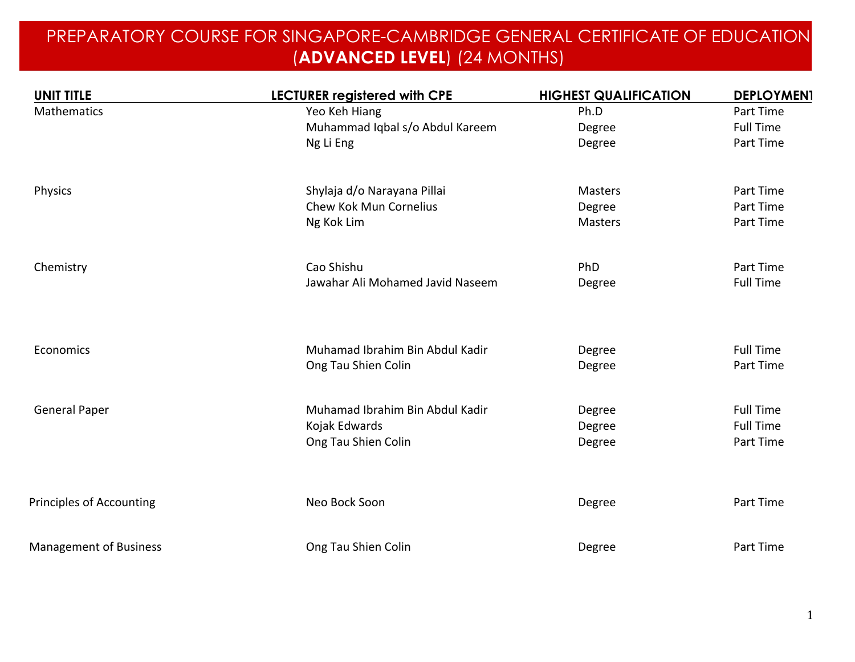### PREPARATORY COURSE FOR SINGAPORE-CAMBRIDGE GENERAL CERTIFICATE OF EDUCATION (**ADVANCED LEVEL**) (24 MONTHS)

| <b>UNIT TITLE</b>               | LECTURER registered with CPE     | <b>HIGHEST QUALIFICATION</b> | <b>DEPLOYMEN1</b> |
|---------------------------------|----------------------------------|------------------------------|-------------------|
| <b>Mathematics</b>              | Yeo Keh Hiang                    | Ph.D                         | Part Time         |
|                                 | Muhammad Iqbal s/o Abdul Kareem  | Degree                       | <b>Full Time</b>  |
|                                 | Ng Li Eng                        | Degree                       | Part Time         |
| Physics                         | Shylaja d/o Narayana Pillai      | <b>Masters</b>               | Part Time         |
|                                 | Chew Kok Mun Cornelius           | Degree                       | Part Time         |
|                                 | Ng Kok Lim                       | <b>Masters</b>               | Part Time         |
| Chemistry                       | Cao Shishu                       | PhD                          | Part Time         |
|                                 | Jawahar Ali Mohamed Javid Naseem | Degree                       | <b>Full Time</b>  |
|                                 |                                  |                              |                   |
| Economics                       | Muhamad Ibrahim Bin Abdul Kadir  | Degree                       | <b>Full Time</b>  |
|                                 | Ong Tau Shien Colin              | Degree                       | Part Time         |
| <b>General Paper</b>            | Muhamad Ibrahim Bin Abdul Kadir  | Degree                       | <b>Full Time</b>  |
|                                 | Kojak Edwards                    | Degree                       | <b>Full Time</b>  |
|                                 | Ong Tau Shien Colin              | Degree                       | Part Time         |
|                                 |                                  |                              |                   |
| <b>Principles of Accounting</b> | Neo Bock Soon                    | Degree                       | Part Time         |
| <b>Management of Business</b>   | Ong Tau Shien Colin              | Degree                       | Part Time         |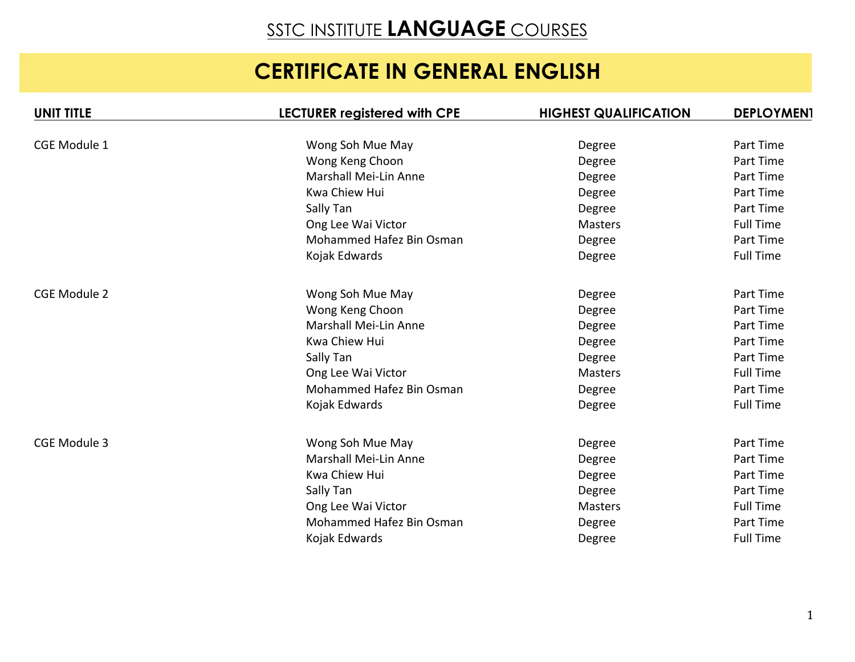# SSTC INSTITUTE **LANGUAGE** COURSES

# **CERTIFICATE IN GENERAL ENGLISH**

| <b>UNIT TITLE</b>   | <b>LECTURER registered with CPE</b> | <b>HIGHEST QUALIFICATION</b> | <b>DEPLOYMEN1</b> |
|---------------------|-------------------------------------|------------------------------|-------------------|
|                     |                                     |                              |                   |
| <b>CGE Module 1</b> | Wong Soh Mue May                    | Degree                       | Part Time         |
|                     | Wong Keng Choon                     | Degree                       | Part Time         |
|                     | Marshall Mei-Lin Anne               | Degree                       | Part Time         |
|                     | Kwa Chiew Hui                       | Degree                       | Part Time         |
|                     | Sally Tan                           | Degree                       | Part Time         |
|                     | Ong Lee Wai Victor                  | <b>Masters</b>               | <b>Full Time</b>  |
|                     | Mohammed Hafez Bin Osman            | Degree                       | Part Time         |
|                     | Kojak Edwards                       | Degree                       | <b>Full Time</b>  |
| <b>CGE Module 2</b> | Wong Soh Mue May                    | Degree                       | Part Time         |
|                     | Wong Keng Choon                     | Degree                       | Part Time         |
|                     | Marshall Mei-Lin Anne               | Degree                       | Part Time         |
|                     | Kwa Chiew Hui                       | Degree                       | Part Time         |
|                     | Sally Tan                           | Degree                       | Part Time         |
|                     | Ong Lee Wai Victor                  | <b>Masters</b>               | <b>Full Time</b>  |
|                     | Mohammed Hafez Bin Osman            | Degree                       | Part Time         |
|                     | Kojak Edwards                       | Degree                       | <b>Full Time</b>  |
| CGE Module 3        | Wong Soh Mue May                    | Degree                       | Part Time         |
|                     | Marshall Mei-Lin Anne               | Degree                       | Part Time         |
|                     | Kwa Chiew Hui                       | Degree                       | Part Time         |
|                     | Sally Tan                           | Degree                       | Part Time         |
|                     | Ong Lee Wai Victor                  | <b>Masters</b>               | <b>Full Time</b>  |
|                     | Mohammed Hafez Bin Osman            | Degree                       | Part Time         |
|                     | Kojak Edwards                       | Degree                       | <b>Full Time</b>  |